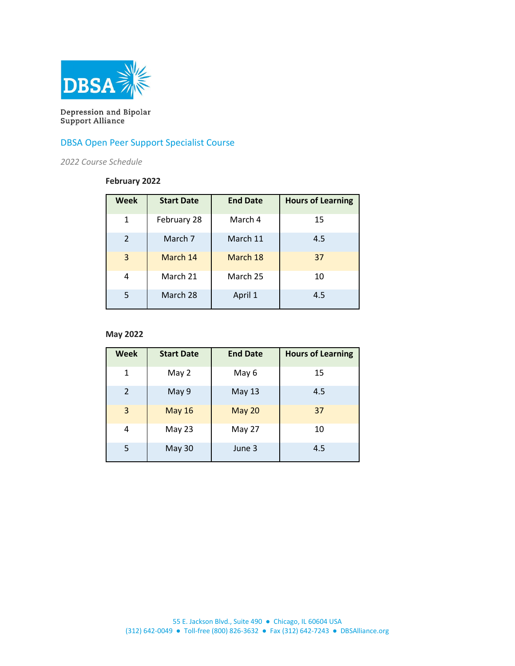

Depression and Bipolar<br>Support Alliance

## DBSA Open Peer Support Specialist Course

*2022 Course Schedule*

### **February 2022**

| Week          | <b>Start Date</b> | <b>End Date</b> | <b>Hours of Learning</b> |
|---------------|-------------------|-----------------|--------------------------|
| 1             | February 28       | March 4         | 15                       |
| $\mathcal{L}$ | March 7           | March 11        | 4.5                      |
| 3             | March 14          | March 18        | 37                       |
| 4             | March 21          | March 25        | 10                       |
| 5             | March 28          | April 1         | 4.5                      |

### **May 2022**

| Week | <b>Start Date</b> | <b>End Date</b> | <b>Hours of Learning</b> |
|------|-------------------|-----------------|--------------------------|
| 1    | May 2             | May 6           | 15                       |
| 2    | May 9             | <b>May 13</b>   | 4.5                      |
| 3    | <b>May 16</b>     | <b>May 20</b>   | 37                       |
| 4    | May 23            | May 27          | 10                       |
| 5    | <b>May 30</b>     | June 3          | 4.5                      |